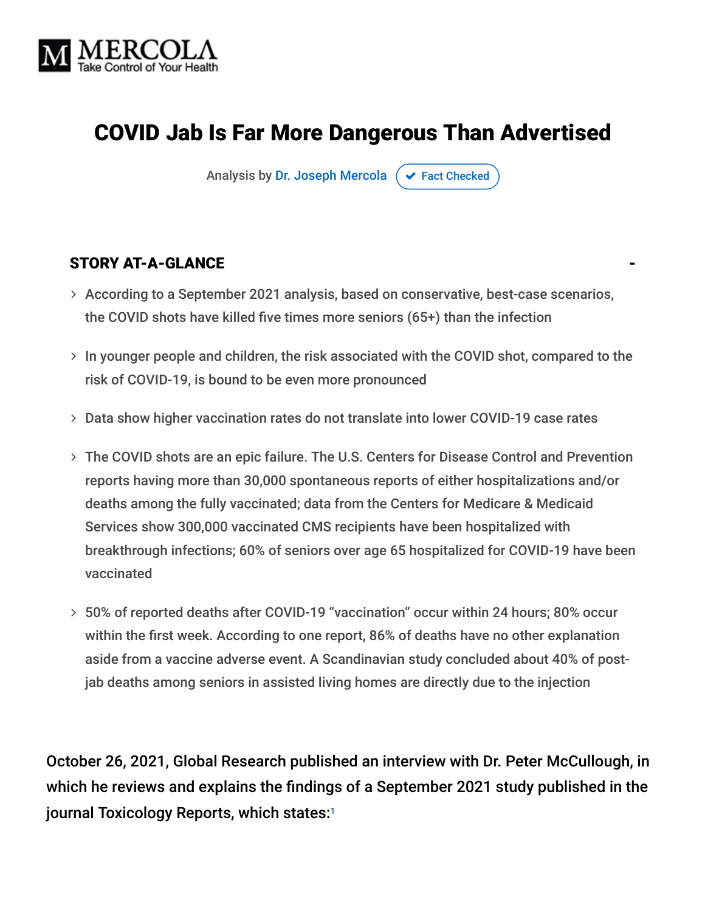

# COVID Jab Is Far More Dangerous Than Advertised

Analysis by [Dr. Joseph Mercola](https://www.mercola.com/forms/background.htm)  $\sigma$  [Fact Checked](javascript:void(0))

#### STORY AT-A-GLANCE

- According to a September 2021 analysis, based on conservative, best-case scenarios, the COVID shots have killed five times more seniors (65+) than the infection
- $>$  In younger people and children, the risk associated with the COVID shot, compared to the risk of COVID-19, is bound to be even more pronounced
- Data show higher vaccination rates do not translate into lower COVID-19 case rates
- The COVID shots are an epic failure. The U.S. Centers for Disease Control and Prevention reports having more than 30,000 spontaneous reports of either hospitalizations and/or deaths among the fully vaccinated; data from the Centers for Medicare & Medicaid Services show 300,000 vaccinated CMS recipients have been hospitalized with breakthrough infections; 60% of seniors over age 65 hospitalized for COVID-19 have been vaccinated
- 50% of reported deaths after COVID-19 "vaccination" occur within 24 hours; 80% occur within the first week. According to one report, 86% of deaths have no other explanation aside from a vaccine adverse event. A Scandinavian study concluded about 40% of postjab deaths among seniors in assisted living homes are directly due to the injection

October 26, 2021, Global Research published an interview with Dr. Peter McCullough, in which he reviews and explains the findings of a September 2021 study published in the journal Toxicology Reports, which states: 1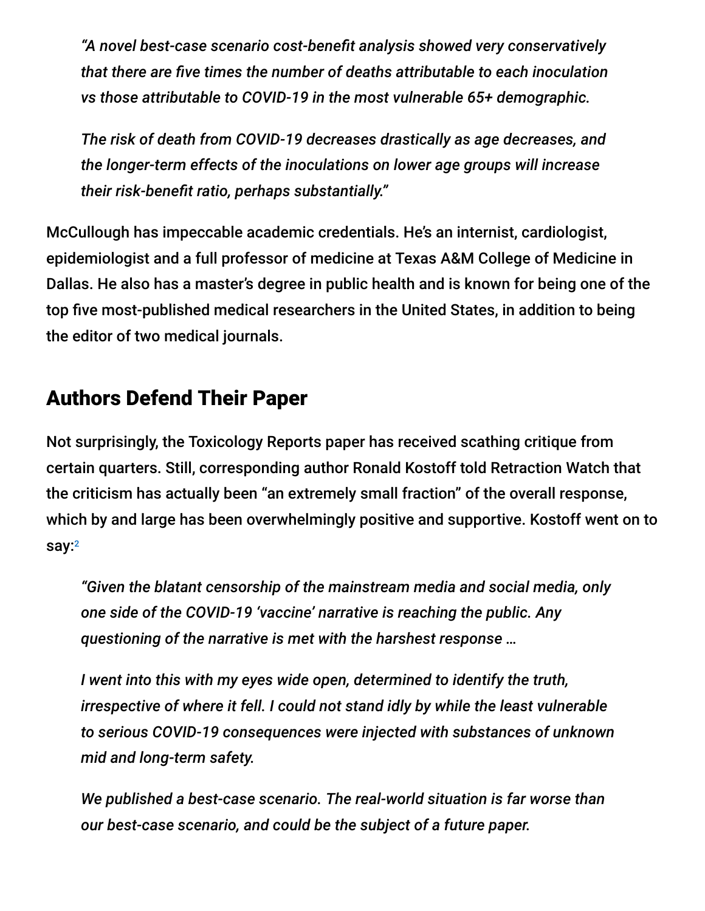*"A novel best-case scenario cost-benefit analysis showed very conservatively that there are five times the number of deaths attributable to each inoculation vs those attributable to COVID-19 in the most vulnerable 65+ demographic.*

*The risk of death from COVID-19 decreases drastically as age decreases, and the longer-term effects of the inoculations on lower age groups will increase their risk-benefit ratio, perhaps substantially."*

McCullough has impeccable academic credentials. He's an internist, cardiologist, epidemiologist and a full professor of medicine at Texas A&M College of Medicine in Dallas. He also has a master's degree in public health and is known for being one of the top five most-published medical researchers in the United States, in addition to being the editor of two medical journals.

## Authors Defend Their Paper

Not surprisingly, the Toxicology Reports paper has received scathing critique from certain quarters. Still, corresponding author Ronald Kostoff told Retraction Watch that the criticism has actually been "an extremely small fraction" of the overall response, which by and large has been overwhelmingly positive and supportive. Kostoff went on to say:<sup>2</sup>

*"Given the blatant censorship of the mainstream media and social media, only one side of the COVID-19 'vaccine' narrative is reaching the public. Any questioning of the narrative is met with the harshest response …*

*I went into this with my eyes wide open, determined to identify the truth, irrespective of where it fell. I could not stand idly by while the least vulnerable to serious COVID-19 consequences were injected with substances of unknown mid and long-term safety.*

*We published a best-case scenario. The real-world situation is far worse than our best-case scenario, and could be the subject of a future paper.*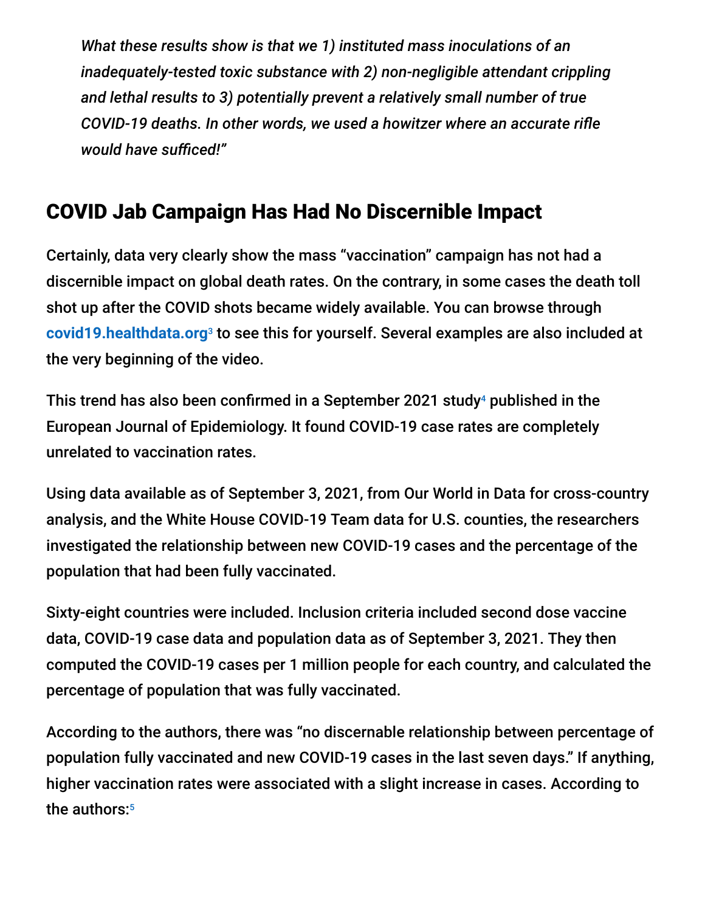*What these results show is that we 1) instituted mass inoculations of an inadequately-tested toxic substance with 2) non-negligible attendant crippling and lethal results to 3) potentially prevent a relatively small number of true COVID-19 deaths. In other words, we used a howitzer where an accurate rifle would have sufficed!"*

# COVID Jab Campaign Has Had No Discernible Impact

Certainly, data very clearly show the mass "vaccination" campaign has not had a discernible impact on global death rates. On the contrary, in some cases the death toll shot up after the COVID shots became widely available. You can browse through [covid19.healthdata.org](https://covid19.healthdata.org/global?view=cumulative-deaths&tab=trend)<sup>3</sup> to see this for yourself. Several examples are also included at the very beginning of the video.

This trend has also been confirmed in a September 2021 study<sup>4</sup> published in the European Journal of Epidemiology. It found COVID-19 case rates are completely unrelated to vaccination rates.

Using data available as of September 3, 2021, from Our World in Data for cross-country analysis, and the White House COVID-19 Team data for U.S. counties, the researchers investigated the relationship between new COVID-19 cases and the percentage of the population that had been fully vaccinated.

Sixty-eight countries were included. Inclusion criteria included second dose vaccine data, COVID-19 case data and population data as of September 3, 2021. They then computed the COVID-19 cases per 1 million people for each country, and calculated the percentage of population that was fully vaccinated.

According to the authors, there was "no discernable relationship between percentage of population fully vaccinated and new COVID-19 cases in the last seven days." If anything, higher vaccination rates were associated with a slight increase in cases. According to the authors: 5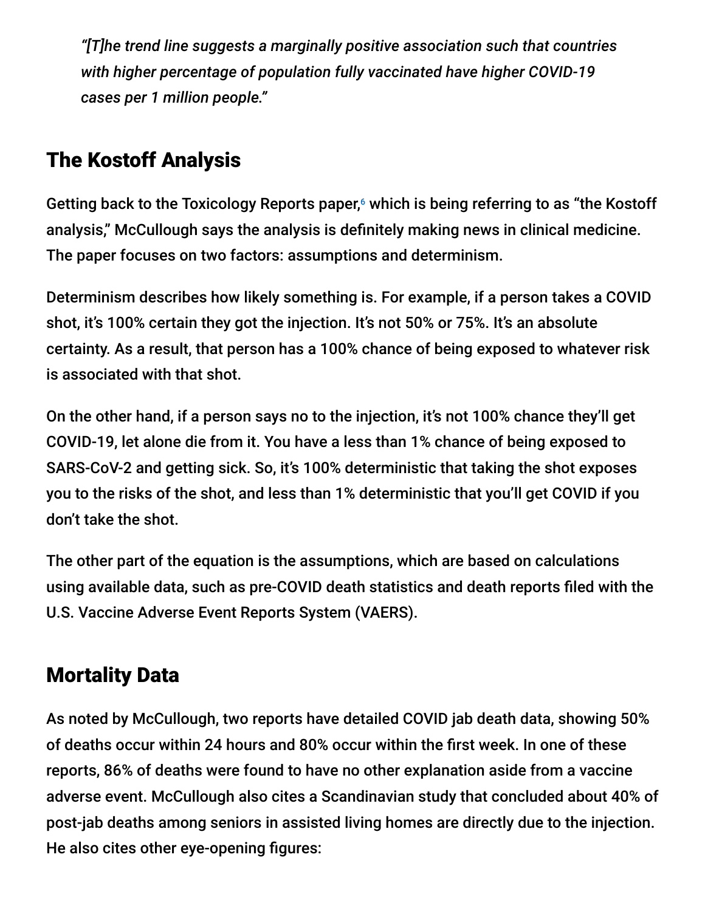*"[T]he trend line suggests a marginally positive association such that countries with higher percentage of population fully vaccinated have higher COVID-19 cases per 1 million people."*

# The Kostoff Analysis

Getting back to the Toxicology Reports paper, $6$  which is being referring to as "the Kostoff analysis," McCullough says the analysis is definitely making news in clinical medicine. The paper focuses on two factors: assumptions and determinism.

Determinism describes how likely something is. For example, if a person takes a COVID shot, it's 100% certain they got the injection. It's not 50% or 75%. It's an absolute certainty. As a result, that person has a 100% chance of being exposed to whatever risk is associated with that shot.

On the other hand, if a person says no to the injection, it's not 100% chance they'll get COVID-19, let alone die from it. You have a less than 1% chance of being exposed to SARS-CoV-2 and getting sick. So, it's 100% deterministic that taking the shot exposes you to the risks of the shot, and less than 1% deterministic that you'll get COVID if you don't take the shot.

The other part of the equation is the assumptions, which are based on calculations using available data, such as pre-COVID death statistics and death reports filed with the U.S. Vaccine Adverse Event Reports System (VAERS).

# Mortality Data

As noted by McCullough, two reports have detailed COVID jab death data, showing 50% of deaths occur within 24 hours and 80% occur within the first week. In one of these reports, 86% of deaths were found to have no other explanation aside from a vaccine adverse event. McCullough also cites a Scandinavian study that concluded about 40% of post-jab deaths among seniors in assisted living homes are directly due to the injection. He also cites other eye-opening figures: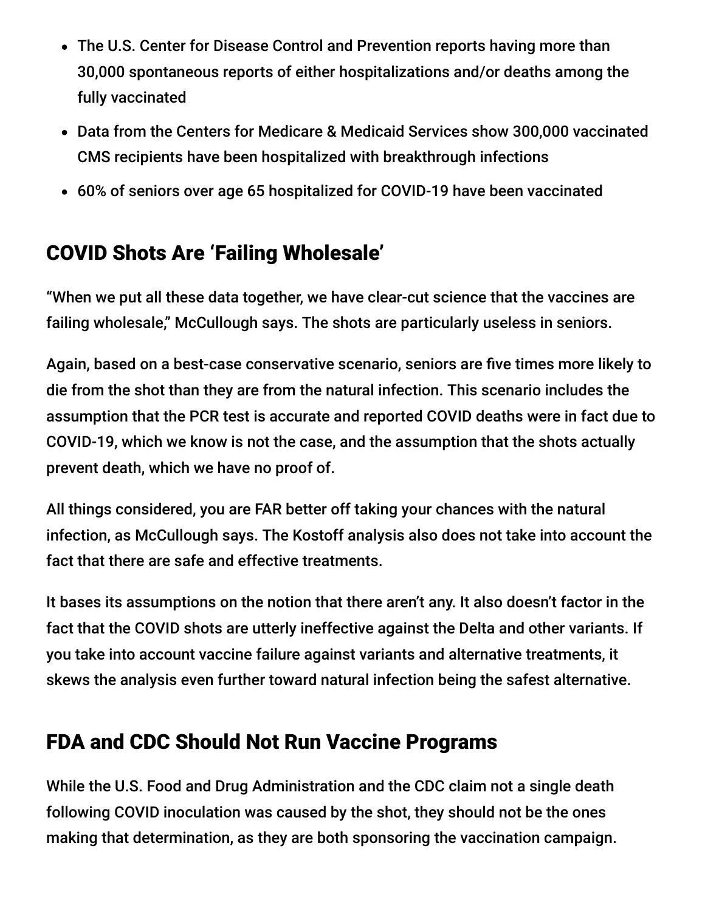- The U.S. Center for Disease Control and Prevention reports having more than 30,000 spontaneous reports of either hospitalizations and/or deaths among the fully vaccinated
- Data from the Centers for Medicare & Medicaid Services show 300,000 vaccinated CMS recipients have been hospitalized with breakthrough infections
- 60% of seniors over age 65 hospitalized for COVID-19 have been vaccinated

# COVID Shots Are 'Failing Wholesale'

"When we put all these data together, we have clear-cut science that the vaccines are failing wholesale," McCullough says. The shots are particularly useless in seniors.

Again, based on a best-case conservative scenario, seniors are five times more likely to die from the shot than they are from the natural infection. This scenario includes the assumption that the PCR test is accurate and reported COVID deaths were in fact due to COVID-19, which we know is not the case, and the assumption that the shots actually prevent death, which we have no proof of.

All things considered, you are FAR better off taking your chances with the natural infection, as McCullough says. The Kostoff analysis also does not take into account the fact that there are safe and effective treatments.

It bases its assumptions on the notion that there aren't any. It also doesn't factor in the fact that the COVID shots are utterly ineffective against the Delta and other variants. If you take into account vaccine failure against variants and alternative treatments, it skews the analysis even further toward natural infection being the safest alternative.

# FDA and CDC Should Not Run Vaccine Programs

While the U.S. Food and Drug Administration and the CDC claim not a single death following COVID inoculation was caused by the shot, they should not be the ones making that determination, as they are both sponsoring the vaccination campaign.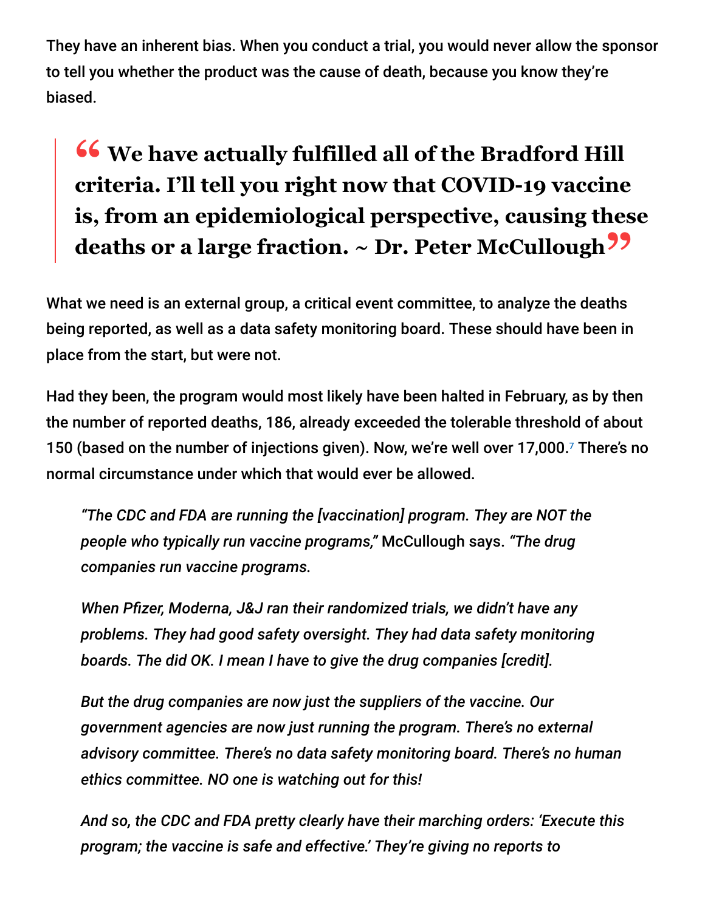They have an inherent bias. When you conduct a trial, you would never allow the sponsor to tell you whether the product was the cause of death, because you know they're biased.

# **<sup>66</sup>** We have actually fulfilled all of the Bradford Hill<br>
eriteria <sup>[2]</sup> I tell vou right now that COVID-10 vaccine **criteria. I'll tell you right now that COVID-19 vaccine is, from an epidemiological perspective, causing these deaths or a large fraction. ~ Dr. Peter McCullough"**

What we need is an external group, a critical event committee, to analyze the deaths being reported, as well as a data safety monitoring board. These should have been in place from the start, but were not.

Had they been, the program would most likely have been halted in February, as by then the number of reported deaths, 186, already exceeded the tolerable threshold of about 150 (based on the number of injections given). Now, we're well over 17,000.7 There's no normal circumstance under which that would ever be allowed.

*"The CDC and FDA are running the [vaccination] program. They are NOT the people who typically run vaccine programs,"* McCullough says. *"The drug companies run vaccine programs.*

*When Pfizer, Moderna, J&J ran their randomized trials, we didn't have any problems. They had good safety oversight. They had data safety monitoring boards. The did OK. I mean I have to give the drug companies [credit].*

*But the drug companies are now just the suppliers of the vaccine. Our government agencies are now just running the program. There's no external advisory committee. There's no data safety monitoring board. There's no human ethics committee. NO one is watching out for this!*

*And so, the CDC and FDA pretty clearly have their marching orders: 'Execute this program; the vaccine is safe and effective.' They're giving no reports to*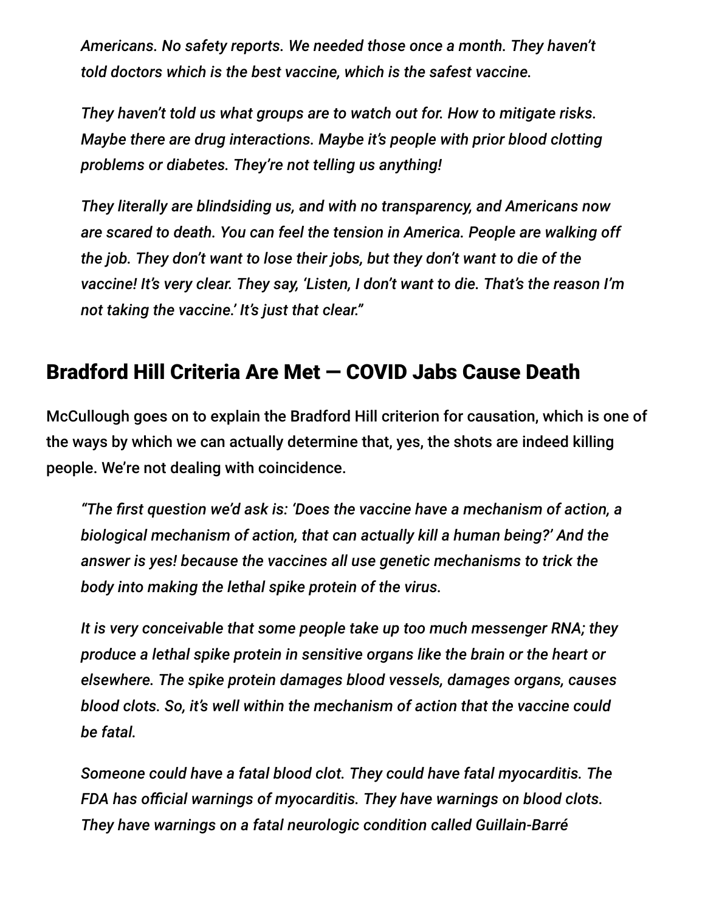*Americans. No safety reports. We needed those once a month. They haven't told doctors which is the best vaccine, which is the safest vaccine.*

*They haven't told us what groups are to watch out for. How to mitigate risks. Maybe there are drug interactions. Maybe it's people with prior blood clotting problems or diabetes. They're not telling us anything!*

*They literally are blindsiding us, and with no transparency, and Americans now are scared to death. You can feel the tension in America. People are walking off the job. They don't want to lose their jobs, but they don't want to die of the vaccine! It's very clear. They say, 'Listen, I don't want to die. That's the reason I'm not taking the vaccine.' It's just that clear."*

## Bradford Hill Criteria Are Met — COVID Jabs Cause Death

McCullough goes on to explain the Bradford Hill criterion for causation, which is one of the ways by which we can actually determine that, yes, the shots are indeed killing people. We're not dealing with coincidence.

*"The first question we'd ask is: 'Does the vaccine have a mechanism of action, a biological mechanism of action, that can actually kill a human being?' And the answer is yes! because the vaccines all use genetic mechanisms to trick the body into making the lethal spike protein of the virus.*

*It is very conceivable that some people take up too much messenger RNA; they produce a lethal spike protein in sensitive organs like the brain or the heart or elsewhere. The spike protein damages blood vessels, damages organs, causes blood clots. So, it's well within the mechanism of action that the vaccine could be fatal.*

*Someone could have a fatal blood clot. They could have fatal myocarditis. The FDA has official warnings of myocarditis. They have warnings on blood clots. They have warnings on a fatal neurologic condition called Guillain-Barré*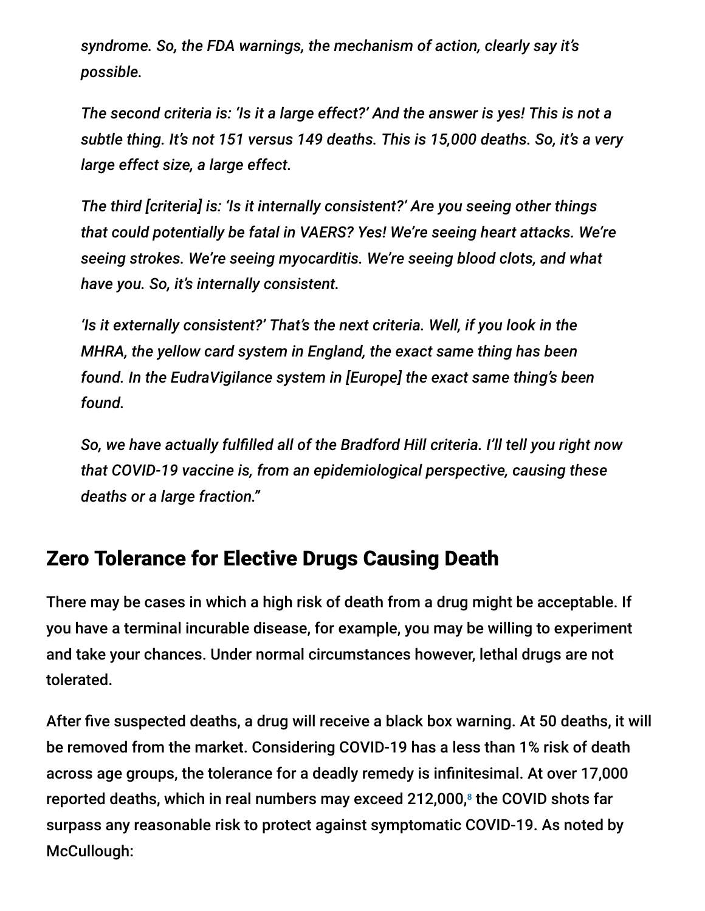*syndrome. So, the FDA warnings, the mechanism of action, clearly say it's possible.*

*The second criteria is: 'Is it a large effect?' And the answer is yes! This is not a subtle thing. It's not 151 versus 149 deaths. This is 15,000 deaths. So, it's a very large effect size, a large effect.*

*The third [criteria] is: 'Is it internally consistent?' Are you seeing other things that could potentially be fatal in VAERS? Yes! We're seeing heart attacks. We're seeing strokes. We're seeing myocarditis. We're seeing blood clots, and what have you. So, it's internally consistent.*

*'Is it externally consistent?' That's the next criteria. Well, if you look in the MHRA, the yellow card system in England, the exact same thing has been found. In the EudraVigilance system in [Europe] the exact same thing's been found.*

*So, we have actually fulfilled all of the Bradford Hill criteria. I'll tell you right now that COVID-19 vaccine is, from an epidemiological perspective, causing these deaths or a large fraction."*

#### Zero Tolerance for Elective Drugs Causing Death

There may be cases in which a high risk of death from a drug might be acceptable. If you have a terminal incurable disease, for example, you may be willing to experiment and take your chances. Under normal circumstances however, lethal drugs are not tolerated.

After five suspected deaths, a drug will receive a black box warning. At 50 deaths, it will be removed from the market. Considering COVID-19 has a less than 1% risk of death across age groups, the tolerance for a deadly remedy is infinitesimal. At over 17,000 reported deaths, which in real numbers may exceed 212,000, $^{\circ}$  the COVID shots far surpass any reasonable risk to protect against symptomatic COVID-19. As noted by McCullough: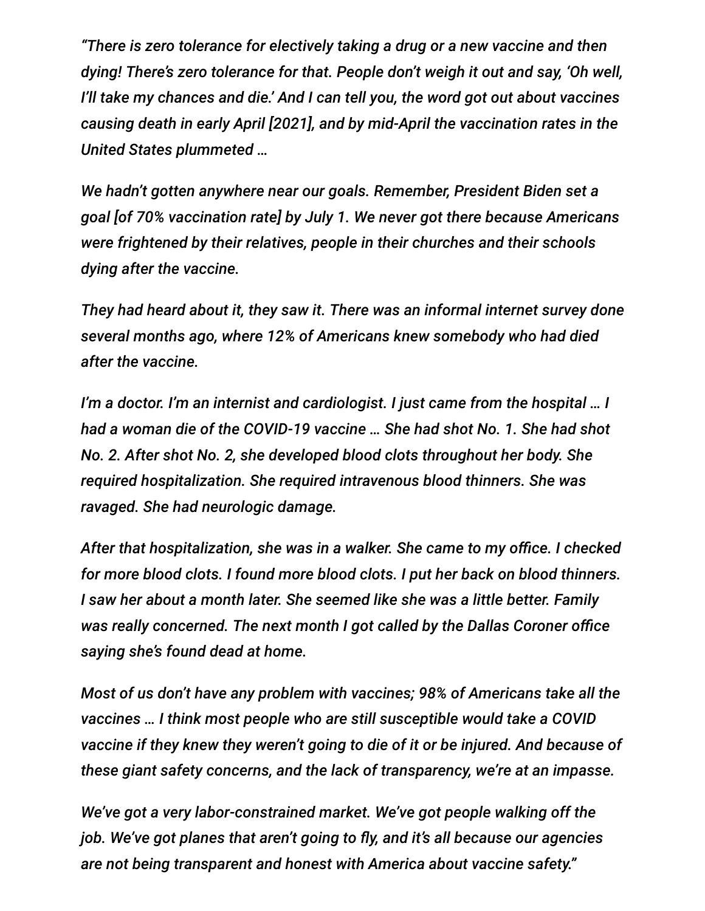*"There is zero tolerance for electively taking a drug or a new vaccine and then dying! There's zero tolerance for that. People don't weigh it out and say, 'Oh well, I'll take my chances and die.' And I can tell you, the word got out about vaccines causing death in early April [2021], and by mid-April the vaccination rates in the United States plummeted …*

*We hadn't gotten anywhere near our goals. Remember, President Biden set a goal [of 70% vaccination rate] by July 1. We never got there because Americans were frightened by their relatives, people in their churches and their schools dying after the vaccine.*

*They had heard about it, they saw it. There was an informal internet survey done several months ago, where 12% of Americans knew somebody who had died after the vaccine.*

*I'm a doctor. I'm an internist and cardiologist. I just came from the hospital … I had a woman die of the COVID-19 vaccine … She had shot No. 1. She had shot No. 2. After shot No. 2, she developed blood clots throughout her body. She required hospitalization. She required intravenous blood thinners. She was ravaged. She had neurologic damage.*

*After that hospitalization, she was in a walker. She came to my office. I checked for more blood clots. I found more blood clots. I put her back on blood thinners. I saw her about a month later. She seemed like she was a little better. Family was really concerned. The next month I got called by the Dallas Coroner office saying she's found dead at home.*

*Most of us don't have any problem with vaccines; 98% of Americans take all the vaccines … I think most people who are still susceptible would take a COVID vaccine if they knew they weren't going to die of it or be injured. And because of these giant safety concerns, and the lack of transparency, we're at an impasse.*

*We've got a very labor-constrained market. We've got people walking off the job. We've got planes that aren't going to fly, and it's all because our agencies are not being transparent and honest with America about vaccine safety."*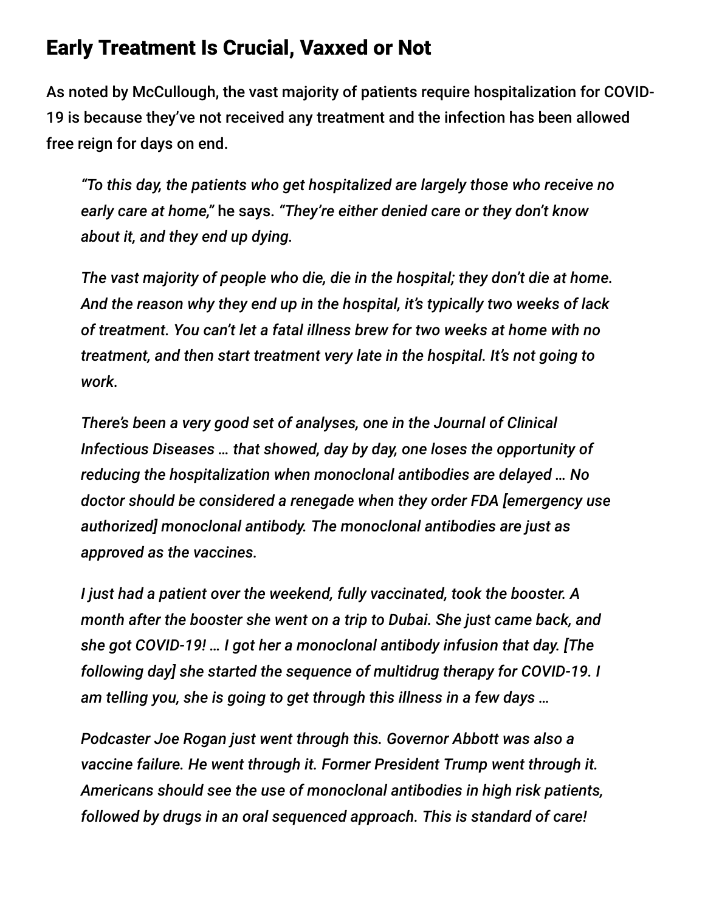#### Early Treatment Is Crucial, Vaxxed or Not

As noted by McCullough, the vast majority of patients require hospitalization for COVID-19 is because they've not received any treatment and the infection has been allowed free reign for days on end.

*"To this day, the patients who get hospitalized are largely those who receive no early care at home,"* he says. *"They're either denied care or they don't know about it, and they end up dying.*

*The vast majority of people who die, die in the hospital; they don't die at home. And the reason why they end up in the hospital, it's typically two weeks of lack of treatment. You can't let a fatal illness brew for two weeks at home with no treatment, and then start treatment very late in the hospital. It's not going to work.*

*There's been a very good set of analyses, one in the Journal of Clinical Infectious Diseases … that showed, day by day, one loses the opportunity of reducing the hospitalization when monoclonal antibodies are delayed … No doctor should be considered a renegade when they order FDA [emergency use authorized] monoclonal antibody. The monoclonal antibodies are just as approved as the vaccines.*

*I just had a patient over the weekend, fully vaccinated, took the booster. A month after the booster she went on a trip to Dubai. She just came back, and she got COVID-19! … I got her a monoclonal antibody infusion that day. [The following day] she started the sequence of multidrug therapy for COVID-19. I am telling you, she is going to get through this illness in a few days …*

*Podcaster Joe Rogan just went through this. Governor Abbott was also a vaccine failure. He went through it. Former President Trump went through it. Americans should see the use of monoclonal antibodies in high risk patients, followed by drugs in an oral sequenced approach. This is standard of care!*